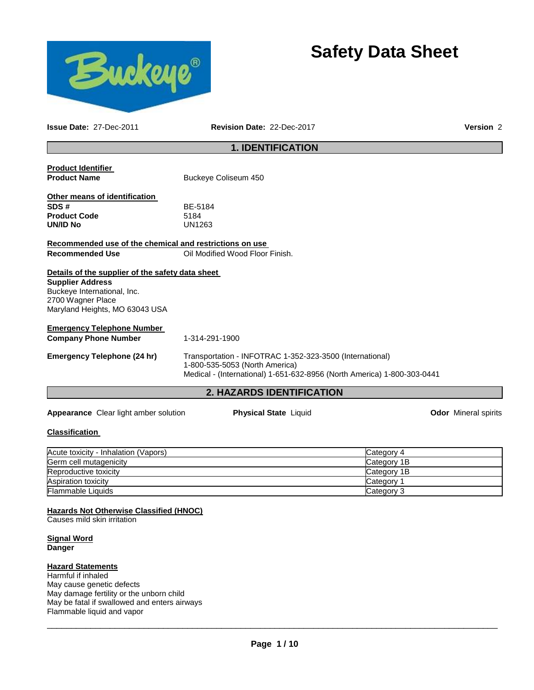



**Issue Date:** 27-Dec-2011 **Revision Date:** 22-Dec-2017 **Version** 2

# **1. IDENTIFICATION**

| <b>Product Identifier</b>                               |                                                                         |                             |  |
|---------------------------------------------------------|-------------------------------------------------------------------------|-----------------------------|--|
| <b>Product Name</b>                                     | Buckeye Coliseum 450                                                    |                             |  |
| Other means of identification                           |                                                                         |                             |  |
| SDS#                                                    | BE-5184                                                                 |                             |  |
| <b>Product Code</b>                                     | 5184                                                                    |                             |  |
| <b>UN/ID No</b>                                         | UN1263                                                                  |                             |  |
| Recommended use of the chemical and restrictions on use |                                                                         |                             |  |
| <b>Recommended Use</b>                                  | Oil Modified Wood Floor Finish.                                         |                             |  |
| Details of the supplier of the safety data sheet        |                                                                         |                             |  |
| <b>Supplier Address</b>                                 |                                                                         |                             |  |
| Buckeye International, Inc.                             |                                                                         |                             |  |
| 2700 Wagner Place                                       |                                                                         |                             |  |
| Maryland Heights, MO 63043 USA                          |                                                                         |                             |  |
| <b>Emergency Telephone Number</b>                       |                                                                         |                             |  |
| <b>Company Phone Number</b>                             | 1-314-291-1900                                                          |                             |  |
| <b>Emergency Telephone (24 hr)</b>                      | Transportation - INFOTRAC 1-352-323-3500 (International)                |                             |  |
|                                                         | 1-800-535-5053 (North America)                                          |                             |  |
|                                                         | Medical - (International) 1-651-632-8956 (North America) 1-800-303-0441 |                             |  |
|                                                         | <b>2. HAZARDS IDENTIFICATION</b>                                        |                             |  |
| <b>Appearance</b> Clear light amber solution            | <b>Physical State Liquid</b>                                            | <b>Odor</b> Mineral spirits |  |

#### **Classification**

| Acute toxicity - Inhalation (Vapors) | Category 4  |
|--------------------------------------|-------------|
| Germ cell mutagenicity               | Category 1B |
| Reproductive toxicity                | Category 1B |
| <b>Aspiration toxicity</b>           | Category    |
| <b>Flammable Liquids</b>             | Category 3  |

**Hazards Not Otherwise Classified (HNOC)**

Causes mild skin irritation

**Signal Word Danger** 

#### **Hazard Statements**

Harmful if inhaled May cause genetic defects May damage fertility or the unborn child May be fatal if swallowed and enters airways Flammable liquid and vapor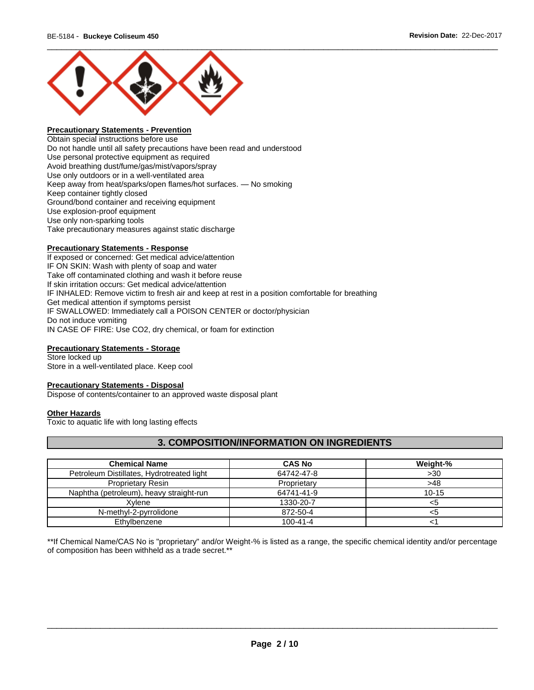

# **Precautionary Statements - Prevention**

Obtain special instructions before use Do not handle until all safety precautions have been read and understood Use personal protective equipment as required Avoid breathing dust/fume/gas/mist/vapors/spray Use only outdoors or in a well-ventilated area Keep away from heat/sparks/open flames/hot surfaces. — No smoking Keep container tightly closed Ground/bond container and receiving equipment Use explosion-proof equipment Use only non-sparking tools Take precautionary measures against static discharge

#### **Precautionary Statements - Response**

If exposed or concerned: Get medical advice/attention IF ON SKIN: Wash with plenty of soap and water Take off contaminated clothing and wash it before reuse If skin irritation occurs: Get medical advice/attention IF INHALED: Remove victim to fresh air and keep at rest in a position comfortable for breathing Get medical attention if symptoms persist IF SWALLOWED: Immediately call a POISON CENTER or doctor/physician Do not induce vomiting IN CASE OF FIRE: Use CO2, dry chemical, or foam for extinction

## **Precautionary Statements - Storage**

Store locked up Store in a well-ventilated place. Keep cool

#### **Precautionary Statements - Disposal**

Dispose of contents/container to an approved waste disposal plant

#### **Other Hazards**

Toxic to aquatic life with long lasting effects

# **3. COMPOSITION/INFORMATION ON INGREDIENTS**

| <b>Chemical Name</b>                      | <b>CAS No</b>  | Weight-%  |
|-------------------------------------------|----------------|-----------|
| Petroleum Distillates, Hydrotreated light | 64742-47-8     | >30       |
| <b>Proprietary Resin</b>                  | Proprietary    | >48       |
| Naphtha (petroleum), heavy straight-run   | 64741-41-9     | $10 - 15$ |
| Xvlene                                    | 1330-20-7      | <5        |
| N-methyl-2-pyrrolidone                    | 872-50-4       | <5        |
| Ethylbenzene                              | $100 - 41 - 4$ |           |

\*\*If Chemical Name/CAS No is "proprietary" and/or Weight-% is listed as a range, the specific chemical identity and/or percentage of composition has been withheld as a trade secret.\*\*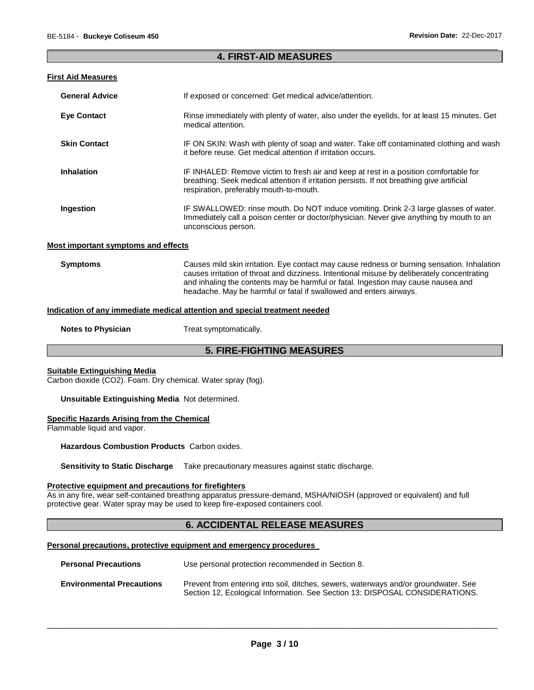### \_\_\_\_\_\_\_\_\_\_\_\_\_\_\_\_\_\_\_\_\_\_\_\_\_\_\_\_\_\_\_\_\_\_\_\_\_\_\_\_\_\_\_\_\_\_\_\_\_\_\_\_\_\_\_\_\_\_\_\_\_\_\_\_\_\_\_\_\_\_\_\_\_\_\_\_\_\_\_\_\_\_\_\_\_\_\_\_\_\_\_\_\_ **4. FIRST-AID MEASURES**

#### **First Aid Measures**

| <b>General Advice</b>             | If exposed or concerned: Get medical advice/attention.                                                                                                                                                                         |
|-----------------------------------|--------------------------------------------------------------------------------------------------------------------------------------------------------------------------------------------------------------------------------|
| <b>Eye Contact</b>                | Rinse immediately with plenty of water, also under the eyelids, for at least 15 minutes. Get<br>medical attention.                                                                                                             |
| <b>Skin Contact</b>               | IF ON SKIN: Wash with plenty of soap and water. Take off contaminated clothing and wash<br>it before reuse. Get medical attention if irritation occurs.                                                                        |
| <b>Inhalation</b>                 | IF INHALED: Remove victim to fresh air and keep at rest in a position comfortable for<br>breathing. Seek medical attention if irritation persists. If not breathing give artificial<br>respiration, preferably mouth-to-mouth. |
| Ingestion                         | IF SWALLOWED: rinse mouth. Do NOT induce vomiting. Drink 2-3 large glasses of water.<br>Immediately call a poison center or doctor/physician. Never give anything by mouth to an<br>unconscious person.                        |
| st imnortant symntoms and effects |                                                                                                                                                                                                                                |

#### **Most important symptoms and effects**

**Symptoms** Causes mild skin irritation. Eye contact may cause redness or burning sensation. Inhalation causes irritation of throat and dizziness. Intentional misuse by deliberately concentrating and inhaling the contents may be harmful or fatal. Ingestion may cause nausea and headache. May be harmful or fatal if swallowed and enters airways.

#### **Indication of any immediate medical attention and special treatment needed**

**Notes to Physician**  Treat symptomatically.

# **5. FIRE-FIGHTING MEASURES**

## **Suitable Extinguishing Media**

Carbon dioxide (CO2). Foam. Dry chemical. Water spray (fog).

#### **Unsuitable Extinguishing Media** Not determined.

## **Specific Hazards Arising from the Chemical**

Flammable liquid and vapor.

**Hazardous Combustion Products** Carbon oxides.

**Sensitivity to Static Discharge** Take precautionary measures against static discharge.

#### **Protective equipment and precautions for firefighters**

As in any fire, wear self-contained breathing apparatus pressure-demand, MSHA/NIOSH (approved or equivalent) and full protective gear. Water spray may be used to keep fire-exposed containers cool.

# **6. ACCIDENTAL RELEASE MEASURES**

#### **Personal precautions, protective equipment and emergency procedures**

| <b>Personal Precautions</b>      | Use personal protection recommended in Section 8.                                                                                                                   |  |
|----------------------------------|---------------------------------------------------------------------------------------------------------------------------------------------------------------------|--|
| <b>Environmental Precautions</b> | Prevent from entering into soil, ditches, sewers, waterways and/or groundwater. See<br>Section 12, Ecological Information. See Section 13: DISPOSAL CONSIDERATIONS. |  |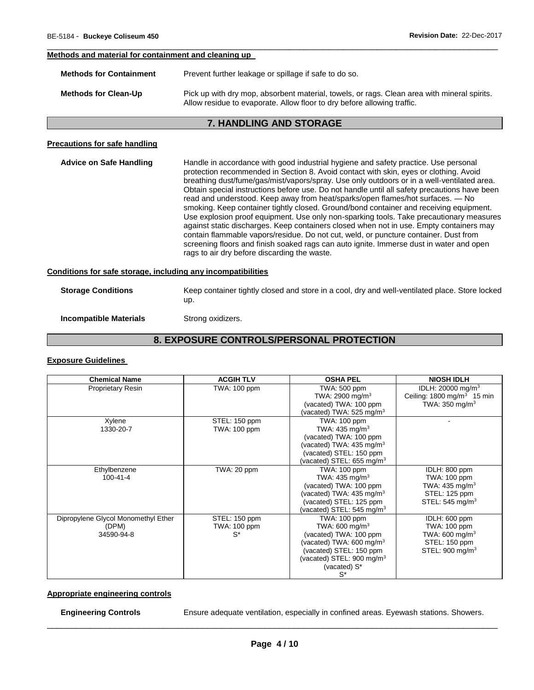## **Methods and material for containment and cleaning up**

| <b>Methods for Containment</b> | Prevent further leakage or spillage if safe to do so.                                                                                                                  |
|--------------------------------|------------------------------------------------------------------------------------------------------------------------------------------------------------------------|
| <b>Methods for Clean-Up</b>    | Pick up with dry mop, absorbent material, towels, or rags. Clean area with mineral spirits.<br>Allow residue to evaporate. Allow floor to dry before allowing traffic. |

\_\_\_\_\_\_\_\_\_\_\_\_\_\_\_\_\_\_\_\_\_\_\_\_\_\_\_\_\_\_\_\_\_\_\_\_\_\_\_\_\_\_\_\_\_\_\_\_\_\_\_\_\_\_\_\_\_\_\_\_\_\_\_\_\_\_\_\_\_\_\_\_\_\_\_\_\_\_\_\_\_\_\_\_\_\_\_\_\_\_\_\_\_

## **7. HANDLING AND STORAGE**

# **Precautions for safe handling**

| <b>Advice on Safe Handling</b>                               | Handle in accordance with good industrial hygiene and safety practice. Use personal<br>protection recommended in Section 8. Avoid contact with skin, eyes or clothing. Avoid<br>breathing dust/fume/gas/mist/vapors/spray. Use only outdoors or in a well-ventilated area.<br>Obtain special instructions before use. Do not handle until all safety precautions have been<br>read and understood. Keep away from heat/sparks/open flames/hot surfaces. — No<br>smoking. Keep container tightly closed. Ground/bond container and receiving equipment.<br>Use explosion proof equipment. Use only non-sparking tools. Take precautionary measures<br>against static discharges. Keep containers closed when not in use. Empty containers may<br>contain flammable vapors/residue. Do not cut, weld, or puncture container. Dust from<br>screening floors and finish soaked rags can auto ignite. Immerse dust in water and open<br>rags to air dry before discarding the waste. |
|--------------------------------------------------------------|---------------------------------------------------------------------------------------------------------------------------------------------------------------------------------------------------------------------------------------------------------------------------------------------------------------------------------------------------------------------------------------------------------------------------------------------------------------------------------------------------------------------------------------------------------------------------------------------------------------------------------------------------------------------------------------------------------------------------------------------------------------------------------------------------------------------------------------------------------------------------------------------------------------------------------------------------------------------------------|
| Conditions for safe storage, including any incompatibilities |                                                                                                                                                                                                                                                                                                                                                                                                                                                                                                                                                                                                                                                                                                                                                                                                                                                                                                                                                                                 |

| <b>Storage Conditions</b> | Keep container tightly closed and store in a cool, dry and well-ventilated place. Store locked |
|---------------------------|------------------------------------------------------------------------------------------------|
|                           | up.                                                                                            |

# **Incompatible Materials Strong oxidizers.**

# **8. EXPOSURE CONTROLS/PERSONAL PROTECTION**

#### **Exposure Guidelines**

| <b>Chemical Name</b>                | <b>ACGIH TLV</b>    | <b>OSHA PEL</b>                       | <b>NIOSH IDLH</b>                     |
|-------------------------------------|---------------------|---------------------------------------|---------------------------------------|
| <b>Proprietary Resin</b>            | TWA: 100 ppm        | TWA: 500 ppm                          | IDLH: 20000 mg/m <sup>3</sup>         |
|                                     |                     | TWA: 2900 mg/m <sup>3</sup>           | Ceiling: $1800 \text{ mg/m}^3$ 15 min |
|                                     |                     | (vacated) TWA: 100 ppm                | TWA: $350 \text{ mg/m}^3$             |
|                                     |                     | (vacated) TWA: 525 mg/m $3$           |                                       |
| Xylene                              | STEL: 150 ppm       | <b>TWA: 100 ppm</b>                   |                                       |
| 1330-20-7                           | TWA: 100 ppm        | TWA: $435 \text{ ma/m}^3$             |                                       |
|                                     |                     | (vacated) TWA: 100 ppm                |                                       |
|                                     |                     | (vacated) TWA: $435 \text{ mg/m}^3$   |                                       |
|                                     |                     | (vacated) STEL: 150 ppm               |                                       |
|                                     |                     | (vacated) STEL: 655 mg/m $3$          |                                       |
| Ethylbenzene                        | TWA: 20 ppm         | <b>TWA: 100 ppm</b>                   | IDLH: 800 ppm                         |
| $100 - 41 - 4$                      |                     | TWA: $435 \text{ ma/m}^3$             | TWA: 100 ppm                          |
|                                     |                     | (vacated) TWA: 100 ppm                | TWA: 435 mg/m <sup>3</sup>            |
|                                     |                     | (vacated) TWA: $435 \text{ mg/m}^3$   | STEL: 125 ppm                         |
|                                     |                     | (vacated) STEL: 125 ppm               | STEL: $545 \text{ mg/m}^3$            |
|                                     |                     | (vacated) STEL: 545 mg/m $3$          |                                       |
| Dipropylene Glycol Monomethyl Ether | STEL: 150 ppm       | TWA: 100 ppm                          | IDLH: 600 ppm                         |
| (DPM)                               | <b>TWA: 100 ppm</b> | TWA: 600 mg/m $3$                     | TWA: 100 ppm                          |
| 34590-94-8                          | $S^*$               | (vacated) TWA: 100 ppm                | TWA: 600 mg/m $3$                     |
|                                     |                     | (vacated) TWA: $600 \text{ mg/m}^3$   | STEL: 150 ppm                         |
|                                     |                     | (vacated) STEL: 150 ppm               | STEL: $900 \text{ mg/m}^3$            |
|                                     |                     | (vacated) STEL: 900 mg/m <sup>3</sup> |                                       |
|                                     |                     | (vacated) S*                          |                                       |
|                                     |                     | $S^*$                                 |                                       |

# **Appropriate engineering controls**

**Engineering Controls** Ensure adequate ventilation, especially in confined areas. Eyewash stations. Showers.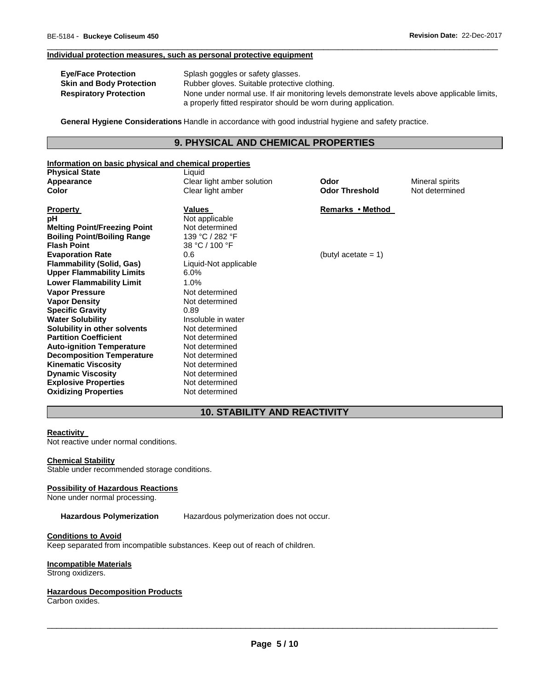#### **Individual protection measures, such as personal protective equipment**

| <b>Eve/Face Protection</b>      | Splash goggles or safety glasses.                                                                                                                              |
|---------------------------------|----------------------------------------------------------------------------------------------------------------------------------------------------------------|
| <b>Skin and Body Protection</b> | Rubber gloves. Suitable protective clothing.                                                                                                                   |
| <b>Respiratory Protection</b>   | None under normal use. If air monitoring levels demonstrate levels above applicable limits,<br>a properly fitted respirator should be worn during application. |

\_\_\_\_\_\_\_\_\_\_\_\_\_\_\_\_\_\_\_\_\_\_\_\_\_\_\_\_\_\_\_\_\_\_\_\_\_\_\_\_\_\_\_\_\_\_\_\_\_\_\_\_\_\_\_\_\_\_\_\_\_\_\_\_\_\_\_\_\_\_\_\_\_\_\_\_\_\_\_\_\_\_\_\_\_\_\_\_\_\_\_\_\_

**General Hygiene Considerations** Handle in accordance with good industrial hygiene and safety practice.

## **9. PHYSICAL AND CHEMICAL PROPERTIES**

## **Information on basic physical and chemical properties**

| <b>Physical State</b>               | Liquid                     |                        |                 |
|-------------------------------------|----------------------------|------------------------|-----------------|
| Appearance                          | Clear light amber solution | Odor                   | Mineral spirits |
| Color                               | Clear light amber          | <b>Odor Threshold</b>  | Not determined  |
|                                     |                            |                        |                 |
| <b>Property</b>                     | Values                     | Remarks • Method       |                 |
| рH                                  | Not applicable             |                        |                 |
| <b>Melting Point/Freezing Point</b> | Not determined             |                        |                 |
| <b>Boiling Point/Boiling Range</b>  | 139 °C / 282 °F            |                        |                 |
| <b>Flash Point</b>                  | 38 °C / 100 °F             |                        |                 |
| <b>Evaporation Rate</b>             | 0.6                        | (butyl acetate $= 1$ ) |                 |
| <b>Flammability (Solid, Gas)</b>    | Liquid-Not applicable      |                        |                 |
| <b>Upper Flammability Limits</b>    | $6.0\%$                    |                        |                 |
| <b>Lower Flammability Limit</b>     | 1.0%                       |                        |                 |
| <b>Vapor Pressure</b>               | Not determined             |                        |                 |
| <b>Vapor Density</b>                | Not determined             |                        |                 |
| <b>Specific Gravity</b>             | 0.89                       |                        |                 |
| <b>Water Solubility</b>             | Insoluble in water         |                        |                 |
| Solubility in other solvents        | Not determined             |                        |                 |
| <b>Partition Coefficient</b>        | Not determined             |                        |                 |
| <b>Auto-ignition Temperature</b>    | Not determined             |                        |                 |
| <b>Decomposition Temperature</b>    | Not determined             |                        |                 |
| <b>Kinematic Viscosity</b>          | Not determined             |                        |                 |
| <b>Dynamic Viscosity</b>            | Not determined             |                        |                 |
| <b>Explosive Properties</b>         | Not determined             |                        |                 |

# **10. STABILITY AND REACTIVITY**

# **Reactivity**

Not reactive under normal conditions.

#### **Chemical Stability**

Stable under recommended storage conditions.

**Oxidizing Properties** Not determined

## **Possibility of Hazardous Reactions**

None under normal processing.

**Hazardous Polymerization** Hazardous polymerization does not occur.

## **Conditions to Avoid**

Keep separated from incompatible substances. Keep out of reach of children.

#### **Incompatible Materials**

Strong oxidizers.

### **Hazardous Decomposition Products**

Carbon oxides.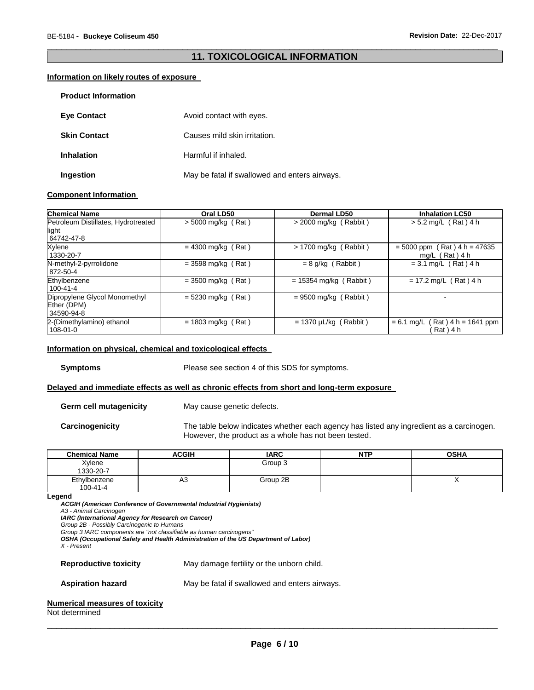## \_\_\_\_\_\_\_\_\_\_\_\_\_\_\_\_\_\_\_\_\_\_\_\_\_\_\_\_\_\_\_\_\_\_\_\_\_\_\_\_\_\_\_\_\_\_\_\_\_\_\_\_\_\_\_\_\_\_\_\_\_\_\_\_\_\_\_\_\_\_\_\_\_\_\_\_\_\_\_\_\_\_\_\_\_\_\_\_\_\_\_\_\_ **11. TOXICOLOGICAL INFORMATION**

#### **Information on likely routes of exposure**

| <b>Product Information</b> |                                               |
|----------------------------|-----------------------------------------------|
| <b>Eye Contact</b>         | Avoid contact with eyes.                      |
| <b>Skin Contact</b>        | Causes mild skin irritation.                  |
| <b>Inhalation</b>          | Harmful if inhaled.                           |
| Ingestion                  | May be fatal if swallowed and enters airways. |

#### **Component Information**

| <b>Chemical Name</b>                                       | Oral LD50            | Dermal LD50                | <b>Inhalation LC50</b>                                   |
|------------------------------------------------------------|----------------------|----------------------------|----------------------------------------------------------|
| Petroleum Distillates, Hydrotreated<br>light<br>64742-47-8 | $> 5000$ mg/kg (Rat) | $>$ 2000 mg/kg (Rabbit)    | $> 5.2$ mg/L (Rat) 4 h                                   |
| Xylene<br>1330-20-7                                        | $= 4300$ mg/kg (Rat) | $> 1700$ mg/kg (Rabbit)    | $= 5000$ ppm (Rat) $4 h = 47635$<br>mg/L $($ Rat $)$ 4 h |
| N-methyl-2-pyrrolidone<br>872-50-4                         | $=$ 3598 mg/kg (Rat) | $= 8$ g/kg (Rabbit)        | $= 3.1$ mg/L (Rat) 4 h                                   |
| Ethylbenzene<br>$100 - 41 - 4$                             | $=$ 3500 mg/kg (Rat) | $= 15354$ mg/kg (Rabbit)   | $= 17.2$ mg/L (Rat) 4 h                                  |
| Dipropylene Glycol Monomethyl<br>Ether (DPM)<br>34590-94-8 | $= 5230$ mg/kg (Rat) | $= 9500$ mg/kg (Rabbit)    |                                                          |
| 2-(Dimethylamino) ethanol<br>$108 - 01 - 0$                | $= 1803$ mg/kg (Rat) | $= 1370 \mu L/kg$ (Rabbit) | $= 6.1$ mg/L (Rat) 4 h = 1641 ppm<br>Rat ) 4 h           |

#### **Information on physical, chemical and toxicological effects**

**Symptoms** Please see section 4 of this SDS for symptoms.

### **Delayed and immediate effects as well as chronic effects from short and long-term exposure**

**Germ cell mutagenicity** May cause genetic defects.

**Carcinogenicity** The table below indicates whether each agency has listed any ingredient as a carcinogen. However, the product as a whole has not been tested.

| <b>Chemical Name</b>           | <b>ACGIH</b> | <b>IARC</b> | <b>NTP</b> | <b>OSHA</b> |
|--------------------------------|--------------|-------------|------------|-------------|
| Xylene<br>1330-20-7            |              | Group 3     |            |             |
| Ethylbenzene<br>$100 - 41 - 4$ | A3           | Group 2B    |            | . .         |

**Legend** 

*ACGIH (American Conference of Governmental Industrial Hygienists) A3 - Animal Carcinogen IARC (International Agency for Research on Cancer) Group 2B - Possibly Carcinogenic to Humans Group 3 IARC components are "not classifiable as human carcinogens" OSHA (Occupational Safety and Health Administration of the US Department of Labor) X - Present*  **Reproductive toxicity** May damage fertility or the unborn child. **Aspiration hazard** May be fatal if swallowed and enters airways. **Numerical measures of toxicity**

#### Not determined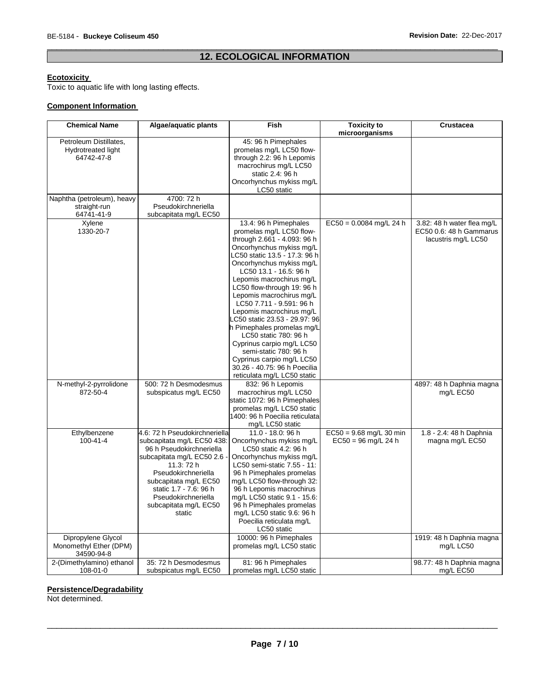# \_\_\_\_\_\_\_\_\_\_\_\_\_\_\_\_\_\_\_\_\_\_\_\_\_\_\_\_\_\_\_\_\_\_\_\_\_\_\_\_\_\_\_\_\_\_\_\_\_\_\_\_\_\_\_\_\_\_\_\_\_\_\_\_\_\_\_\_\_\_\_\_\_\_\_\_\_\_\_\_\_\_\_\_\_\_\_\_\_\_\_\_\_ **12. ECOLOGICAL INFORMATION**

#### **Ecotoxicity**

Toxic to aquatic life with long lasting effects.

# **Component Information**

| <b>Chemical Name</b>                       | Algae/aquatic plants                         | Fish                                                   | <b>Toxicity to</b>        | <b>Crustacea</b>           |
|--------------------------------------------|----------------------------------------------|--------------------------------------------------------|---------------------------|----------------------------|
|                                            |                                              |                                                        | microorganisms            |                            |
| Petroleum Distillates,                     |                                              | 45: 96 h Pimephales                                    |                           |                            |
| Hydrotreated light                         |                                              | promelas mg/L LC50 flow-                               |                           |                            |
| 64742-47-8                                 |                                              | through 2.2: 96 h Lepomis                              |                           |                            |
|                                            |                                              | macrochirus mg/L LC50                                  |                           |                            |
|                                            |                                              | static 2.4: 96 h                                       |                           |                            |
|                                            |                                              | Oncorhynchus mykiss mg/L<br>LC50 static                |                           |                            |
|                                            | 4700: 72 h                                   |                                                        |                           |                            |
| Naphtha (petroleum), heavy<br>straight-run | Pseudokirchneriella                          |                                                        |                           |                            |
| 64741-41-9                                 | subcapitata mg/L EC50                        |                                                        |                           |                            |
| Xylene                                     |                                              | 13.4: 96 h Pimephales                                  | $EC50 = 0.0084$ mg/L 24 h | 3.82: 48 h water flea mg/L |
| 1330-20-7                                  |                                              | promelas mg/L LC50 flow-                               |                           | EC50 0.6: 48 h Gammarus    |
|                                            |                                              | through 2.661 - 4.093: 96 h                            |                           | lacustris mg/L LC50        |
|                                            |                                              | Oncorhynchus mykiss mg/L                               |                           |                            |
|                                            |                                              | LC50 static 13.5 - 17.3: 96 h                          |                           |                            |
|                                            |                                              | Oncorhynchus mykiss mg/L                               |                           |                            |
|                                            |                                              | LC50 13.1 - 16.5: 96 h                                 |                           |                            |
|                                            |                                              | Lepomis macrochirus mg/L                               |                           |                            |
|                                            |                                              | LC50 flow-through 19: 96 h                             |                           |                            |
|                                            |                                              | Lepomis macrochirus mg/L                               |                           |                            |
|                                            |                                              | LC50 7.711 - 9.591: 96 h                               |                           |                            |
|                                            |                                              | Lepomis macrochirus mg/L                               |                           |                            |
|                                            |                                              | LC50 static 23.53 - 29.97: 96                          |                           |                            |
|                                            |                                              | h Pimephales promelas mg/L<br>LC50 static 780: 96 h    |                           |                            |
|                                            |                                              | Cyprinus carpio mg/L LC50                              |                           |                            |
|                                            |                                              | semi-static 780: 96 h                                  |                           |                            |
|                                            |                                              | Cyprinus carpio mg/L LC50                              |                           |                            |
|                                            |                                              | 30.26 - 40.75: 96 h Poecilia                           |                           |                            |
|                                            |                                              | reticulata mg/L LC50 static                            |                           |                            |
| N-methyl-2-pyrrolidone                     | 500: 72 h Desmodesmus                        | 832: 96 h Lepomis                                      |                           | 4897: 48 h Daphnia magna   |
| 872-50-4                                   | subspicatus mg/L EC50                        | macrochirus mg/L LC50                                  |                           | mg/L EC50                  |
|                                            |                                              | static 1072: 96 h Pimephales                           |                           |                            |
|                                            |                                              | promelas mg/L LC50 static                              |                           |                            |
|                                            |                                              | 1400: 96 h Poecilia reticulata                         |                           |                            |
|                                            |                                              | mg/L LC50 static                                       |                           |                            |
| Ethylbenzene                               | 4.6: 72 h Pseudokirchneriella                | 11.0 - 18.0: 96 h                                      | $EC50 = 9.68$ mg/L 30 min | 1.8 - 2.4: 48 h Daphnia    |
| $100 - 41 - 4$                             | subcapitata mg/L EC50 438:                   | Oncorhynchus mykiss mg/L                               | $EC50 = 96$ mg/L 24 h     | magna mg/L EC50            |
|                                            | 96 h Pseudokirchneriella                     | LC50 static 4.2: 96 h                                  |                           |                            |
|                                            | subcapitata mg/L EC50 2.6                    | Oncorhynchus mykiss mg/L                               |                           |                            |
|                                            | 11.3: 72 h                                   | LC50 semi-static 7.55 - 11:                            |                           |                            |
|                                            | Pseudokirchneriella<br>subcapitata mg/L EC50 | 96 h Pimephales promelas<br>mg/L LC50 flow-through 32: |                           |                            |
|                                            | static 1.7 - 7.6: 96 h                       | 96 h Lepomis macrochirus                               |                           |                            |
|                                            | Pseudokirchneriella                          | mg/L LC50 static 9.1 - 15.6:                           |                           |                            |
|                                            | subcapitata mg/L EC50                        | 96 h Pimephales promelas                               |                           |                            |
|                                            | static                                       | mg/L LC50 static 9.6: 96 h                             |                           |                            |
|                                            |                                              | Poecilia reticulata mg/L                               |                           |                            |
|                                            |                                              | LC50 static                                            |                           |                            |
| Dipropylene Glycol                         |                                              | 10000: 96 h Pimephales                                 |                           | 1919: 48 h Daphnia magna   |
| Monomethyl Ether (DPM)                     |                                              | promelas mg/L LC50 static                              |                           | mg/L LC50                  |
| 34590-94-8                                 |                                              |                                                        |                           |                            |
| 2-(Dimethylamino) ethanol                  | 35: 72 h Desmodesmus                         | 81: 96 h Pimephales                                    |                           | 98.77: 48 h Daphnia magna  |
| 108-01-0                                   | subspicatus mg/L EC50                        | promelas mg/L LC50 static                              |                           | mg/L EC50                  |

#### **Persistence/Degradability**

Not determined.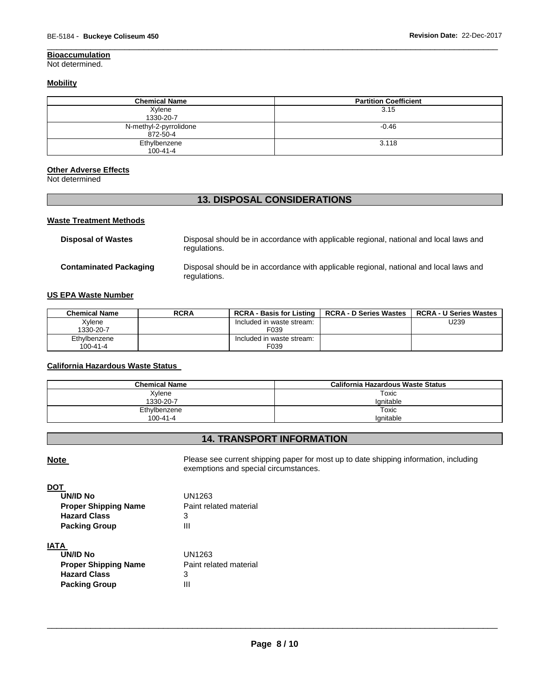Not determined.

## **Mobility**

| <b>Chemical Name</b>               | <b>Partition Coefficient</b> |
|------------------------------------|------------------------------|
| Xylene<br>1330-20-7                | 3.15                         |
| N-methyl-2-pyrrolidone<br>872-50-4 | $-0.46$                      |
| Ethylbenzene<br>$100 - 41 - 4$     | 3.118                        |

\_\_\_\_\_\_\_\_\_\_\_\_\_\_\_\_\_\_\_\_\_\_\_\_\_\_\_\_\_\_\_\_\_\_\_\_\_\_\_\_\_\_\_\_\_\_\_\_\_\_\_\_\_\_\_\_\_\_\_\_\_\_\_\_\_\_\_\_\_\_\_\_\_\_\_\_\_\_\_\_\_\_\_\_\_\_\_\_\_\_\_\_\_

#### **Other Adverse Effects**

Not determined

# **13. DISPOSAL CONSIDERATIONS**

## **Waste Treatment Methods**

| <b>Disposal of Wastes</b>     | Disposal should be in accordance with applicable regional, national and local laws and<br>regulations. |
|-------------------------------|--------------------------------------------------------------------------------------------------------|
| <b>Contaminated Packaging</b> | Disposal should be in accordance with applicable regional, national and local laws and<br>regulations. |

# **US EPA Waste Number**

| <b>Chemical Name</b> | <b>RCRA</b> | <b>RCRA - Basis for Listing</b> | <b>RCRA - D Series Wastes</b> | <b>RCRA - U Series Wastes</b> |
|----------------------|-------------|---------------------------------|-------------------------------|-------------------------------|
| Xvlene               |             | Included in waste stream:       |                               | U239                          |
| 1330-20-7            |             | F039                            |                               |                               |
| Ethylbenzene         |             | Included in waste stream:       |                               |                               |
| $100 - 41 - 4$       |             | F039                            |                               |                               |

## **California Hazardous Waste Status**

| <b>Chemical Name</b> | California Hazardous Waste Status |
|----------------------|-----------------------------------|
| Xylene               | Toxic                             |
| 1330-20-7            | lanitable                         |
| Ethylbenzene         | Toxic                             |
| $100 - 41 - 4$       | lanitable                         |

# **14. TRANSPORT INFORMATION**

Note **Note Please see current shipping paper for most up to date shipping information, including** exemptions and special circumstances.

| UN1263                 |
|------------------------|
| Paint related material |
| з                      |
| Ш                      |
|                        |
|                        |

# **IATA**

| UN/ID No                    | UN1263                 |
|-----------------------------|------------------------|
| <b>Proper Shipping Name</b> | Paint related material |
| <b>Hazard Class</b>         | З                      |
| <b>Packing Group</b>        | Ш                      |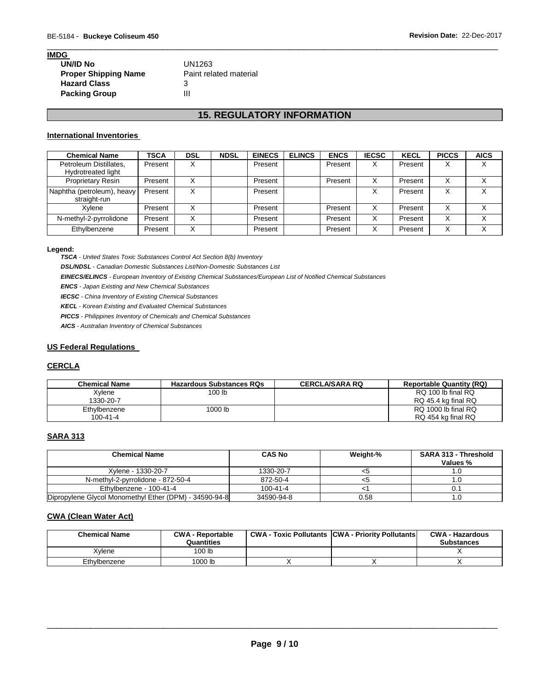| <b>IMDG</b>                 |                        |
|-----------------------------|------------------------|
| <b>UN/ID No</b>             | UN1263                 |
| <b>Proper Shipping Name</b> | Paint related material |
| <b>Hazard Class</b>         | 3                      |
| <b>Packing Group</b>        | Ш                      |

# **15. REGULATORY INFORMATION**

\_\_\_\_\_\_\_\_\_\_\_\_\_\_\_\_\_\_\_\_\_\_\_\_\_\_\_\_\_\_\_\_\_\_\_\_\_\_\_\_\_\_\_\_\_\_\_\_\_\_\_\_\_\_\_\_\_\_\_\_\_\_\_\_\_\_\_\_\_\_\_\_\_\_\_\_\_\_\_\_\_\_\_\_\_\_\_\_\_\_\_\_\_

#### **International Inventories**

| <b>Chemical Name</b>                         | <b>TSCA</b> | DSL              | <b>NDSL</b> | <b>EINECS</b> | <b>ELINCS</b> | <b>ENCS</b> | <b>IECSC</b> | <b>KECL</b> | <b>PICCS</b>      | <b>AICS</b> |
|----------------------------------------------|-------------|------------------|-------------|---------------|---------------|-------------|--------------|-------------|-------------------|-------------|
| Petroleum Distillates,<br>Hydrotreated light | Present     | v                |             | Present       |               | Present     | х            | Present     | X                 |             |
| <b>Proprietary Resin</b>                     | Present     | $\checkmark$     |             | Present       |               | Present     | X            | Present     | X                 |             |
| Naphtha (petroleum), heavy<br>straight-run   | Present     | v<br>⋏           |             | Present       |               |             | ⋏            | Present     | X                 |             |
| Xvlene                                       | Present     |                  |             | Present       |               | Present     | X            | Present     | X                 |             |
| N-methyl-2-pyrrolidone                       | Present     | $\check{ }$<br>⋏ |             | Present       |               | Present     | x            | Present     | X                 |             |
| Ethylbenzene                                 | Present     | $\checkmark$     |             | Present       |               | Present     | X            | Present     | $\checkmark$<br>⋏ |             |

#### **Legend:**

*TSCA - United States Toxic Substances Control Act Section 8(b) Inventory* 

*DSL/NDSL - Canadian Domestic Substances List/Non-Domestic Substances List* 

*EINECS/ELINCS - European Inventory of Existing Chemical Substances/European List of Notified Chemical Substances* 

*ENCS - Japan Existing and New Chemical Substances* 

*IECSC - China Inventory of Existing Chemical Substances* 

*KECL - Korean Existing and Evaluated Chemical Substances* 

*PICCS - Philippines Inventory of Chemicals and Chemical Substances* 

*AICS - Australian Inventory of Chemical Substances* 

#### **US Federal Regulations**

# **CERCLA**

| <b>Chemical Name</b> | <b>Hazardous Substances RQs</b> | <b>CERCLA/SARA RQ</b> | <b>Reportable Quantity (RQ)</b> |
|----------------------|---------------------------------|-----------------------|---------------------------------|
| Xylene               | 100 lb                          |                       | RQ 100 lb final RQ              |
| 1330-20-7            |                                 |                       | RQ 45.4 kg final RQ             |
| Ethylbenzene         | 1000 lb                         |                       | RQ 1000 lb final RQ             |
| 100-41-4             |                                 |                       | RQ 454 kg final RQ              |

# **SARA 313**

| <b>Chemical Name</b>                                   | <b>CAS No</b>  | Weight-% | <b>SARA 313 - Threshold</b><br>Values % |
|--------------------------------------------------------|----------------|----------|-----------------------------------------|
| Xylene - 1330-20-7                                     | 1330-20-7      | <ວ       |                                         |
| N-methyl-2-pyrrolidone - 872-50-4                      | 872-50-4       |          |                                         |
| Ethylbenzene - 100-41-4                                | $100 - 41 - 4$ |          |                                         |
| Dipropylene Glycol Monomethyl Ether (DPM) - 34590-94-8 | 34590-94-8     | 0.58     |                                         |

## **CWA (Clean Water Act)**

| <b>Chemical Name</b> | <b>CWA - Reportable</b><br>Quantities | <b>CWA - Toxic Pollutants CWA - Priority Pollutants</b> | <b>CWA - Hazardous</b><br><b>Substances</b> |
|----------------------|---------------------------------------|---------------------------------------------------------|---------------------------------------------|
| Xvlene               | '00 <sub>lb</sub>                     |                                                         |                                             |
| Ethylbenzene         | 1000 lb                               |                                                         |                                             |